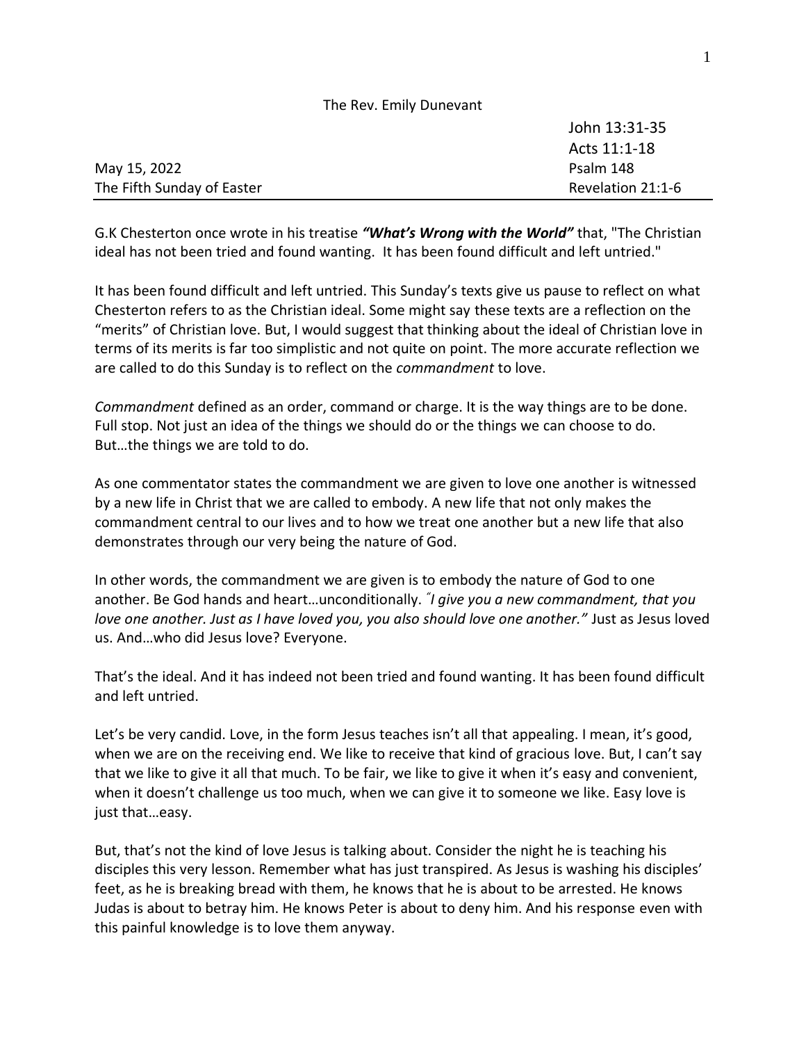|                            | John 13:31-35     |
|----------------------------|-------------------|
|                            | Acts 11:1-18      |
| May 15, 2022               | Psalm 148         |
| The Fifth Sunday of Easter | Revelation 21:1-6 |

The Rev. Emily Dunevant

G.K Chesterton once wrote in his treatise *"What's Wrong with the World"* that, "The Christian ideal has not been tried and found wanting. It has been found difficult and left untried."

It has been found difficult and left untried. This Sunday's texts give us pause to reflect on what Chesterton refers to as the Christian ideal. Some might say these texts are a reflection on the "merits" of Christian love. But, I would suggest that thinking about the ideal of Christian love in terms of its merits is far too simplistic and not quite on point. The more accurate reflection we are called to do this Sunday is to reflect on the *commandment* to love.

*Commandment* defined as an order, command or charge. It is the way things are to be done. Full stop. Not just an idea of the things we should do or the things we can choose to do. But…the things we are told to do.

As one commentator states the commandment we are given to love one another is witnessed by a new life in Christ that we are called to embody. A new life that not only makes the commandment central to our lives and to how we treat one another but a new life that also demonstrates through our very being the nature of God.

In other words, the commandment we are given is to embody the nature of God to one another. Be God hands and heart…unconditionally. *" I give you a new commandment, that you love one another. Just as I have loved you, you also should love one another."* Just as Jesus loved us. And…who did Jesus love? Everyone.

That's the ideal. And it has indeed not been tried and found wanting. It has been found difficult and left untried.

Let's be very candid. Love, in the form Jesus teaches isn't all that appealing. I mean, it's good, when we are on the receiving end. We like to receive that kind of gracious love. But, I can't say that we like to give it all that much. To be fair, we like to give it when it's easy and convenient, when it doesn't challenge us too much, when we can give it to someone we like. Easy love is just that…easy.

But, that's not the kind of love Jesus is talking about. Consider the night he is teaching his disciples this very lesson. Remember what has just transpired. As Jesus is washing his disciples' feet, as he is breaking bread with them, he knows that he is about to be arrested. He knows Judas is about to betray him. He knows Peter is about to deny him. And his response even with this painful knowledge is to love them anyway.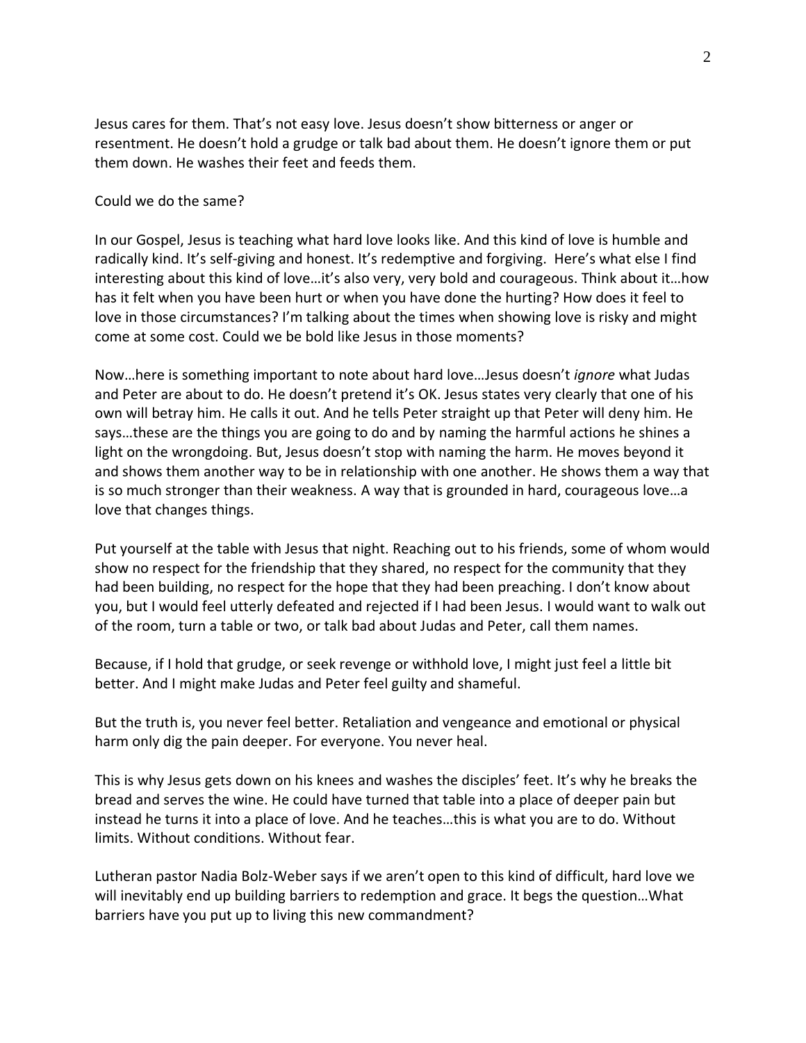Jesus cares for them. That's not easy love. Jesus doesn't show bitterness or anger or resentment. He doesn't hold a grudge or talk bad about them. He doesn't ignore them or put them down. He washes their feet and feeds them.

Could we do the same?

In our Gospel, Jesus is teaching what hard love looks like. And this kind of love is humble and radically kind. It's self-giving and honest. It's redemptive and forgiving. Here's what else I find interesting about this kind of love…it's also very, very bold and courageous. Think about it…how has it felt when you have been hurt or when you have done the hurting? How does it feel to love in those circumstances? I'm talking about the times when showing love is risky and might come at some cost. Could we be bold like Jesus in those moments?

Now…here is something important to note about hard love…Jesus doesn't *ignore* what Judas and Peter are about to do. He doesn't pretend it's OK. Jesus states very clearly that one of his own will betray him. He calls it out. And he tells Peter straight up that Peter will deny him. He says…these are the things you are going to do and by naming the harmful actions he shines a light on the wrongdoing. But, Jesus doesn't stop with naming the harm. He moves beyond it and shows them another way to be in relationship with one another. He shows them a way that is so much stronger than their weakness. A way that is grounded in hard, courageous love…a love that changes things.

Put yourself at the table with Jesus that night. Reaching out to his friends, some of whom would show no respect for the friendship that they shared, no respect for the community that they had been building, no respect for the hope that they had been preaching. I don't know about you, but I would feel utterly defeated and rejected if I had been Jesus. I would want to walk out of the room, turn a table or two, or talk bad about Judas and Peter, call them names.

Because, if I hold that grudge, or seek revenge or withhold love, I might just feel a little bit better. And I might make Judas and Peter feel guilty and shameful.

But the truth is, you never feel better. Retaliation and vengeance and emotional or physical harm only dig the pain deeper. For everyone. You never heal.

This is why Jesus gets down on his knees and washes the disciples' feet. It's why he breaks the bread and serves the wine. He could have turned that table into a place of deeper pain but instead he turns it into a place of love. And he teaches…this is what you are to do. Without limits. Without conditions. Without fear.

Lutheran pastor Nadia Bolz-Weber says if we aren't open to this kind of difficult, hard love we will inevitably end up building barriers to redemption and grace. It begs the question…What barriers have you put up to living this new commandment?